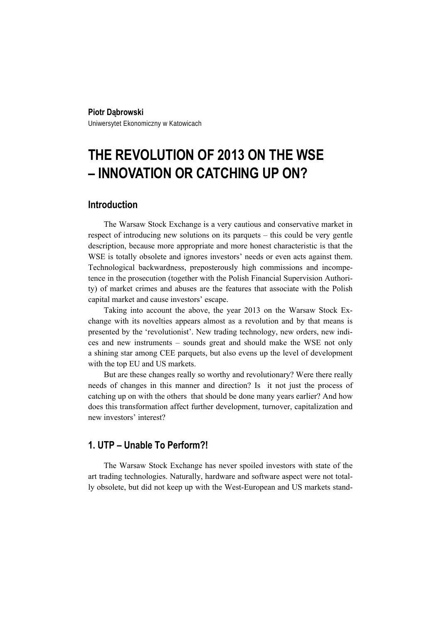#### **Piotr Dąbrowski**

Uniwersytet Ekonomiczny w Katowicach

# **THE REVOLUTION OF 2013 ON THE WSE – INNOVATION OR CATCHING UP ON?**

#### **Introduction**

The Warsaw Stock Exchange is a very cautious and conservative market in respect of introducing new solutions on its parquets – this could be very gentle description, because more appropriate and more honest characteristic is that the WSE is totally obsolete and ignores investors' needs or even acts against them. Technological backwardness, preposterously high commissions and incompetence in the prosecution (together with the Polish Financial Supervision Authority) of market crimes and abuses are the features that associate with the Polish capital market and cause investors' escape.

Taking into account the above, the year 2013 on the Warsaw Stock Exchange with its novelties appears almost as a revolution and by that means is presented by the 'revolutionist'. New trading technology, new orders, new indices and new instruments – sounds great and should make the WSE not only a shining star among CEE parquets, but also evens up the level of development with the top EU and US markets.

But are these changes really so worthy and revolutionary? Were there really needs of changes in this manner and direction? Is it not just the process of catching up on with the others that should be done many years earlier? And how does this transformation affect further development, turnover, capitalization and new investors' interest?

### **1. UTP – Unable To Perform?!**

The Warsaw Stock Exchange has never spoiled investors with state of the art trading technologies. Naturally, hardware and software aspect were not totally obsolete, but did not keep up with the West-European and US markets stand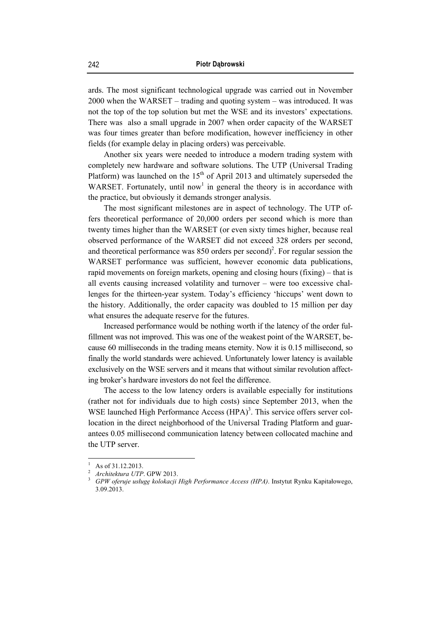ards. The most significant technological upgrade was carried out in November 2000 when the WARSET – trading and quoting system – was introduced. It was not the top of the top solution but met the WSE and its investors' expectations. There was also a small upgrade in 2007 when order capacity of the WARSET was four times greater than before modification, however inefficiency in other fields (for example delay in placing orders) was perceivable.

Another six years were needed to introduce a modern trading system with completely new hardware and software solutions. The UTP (Universal Trading Platform) was launched on the  $15<sup>th</sup>$  of April 2013 and ultimately superseded the WARSET. Fortunately, until now<sup>1</sup> in general the theory is in accordance with the practice, but obviously it demands stronger analysis.

The most significant milestones are in aspect of technology. The UTP offers theoretical performance of 20,000 orders per second which is more than twenty times higher than the WARSET (or even sixty times higher, because real observed performance of the WARSET did not exceed 328 orders per second, and theoretical performance was  $850$  orders per second)<sup>2</sup>. For regular session the WARSET performance was sufficient, however economic data publications, rapid movements on foreign markets, opening and closing hours (fixing) – that is all events causing increased volatility and turnover – were too excessive challenges for the thirteen-year system. Today's efficiency 'hiccups' went down to the history. Additionally, the order capacity was doubled to 15 million per day what ensures the adequate reserve for the futures.

Increased performance would be nothing worth if the latency of the order fulfillment was not improved. This was one of the weakest point of the WARSET, because 60 milliseconds in the trading means eternity. Now it is 0.15 millisecond, so finally the world standards were achieved. Unfortunately lower latency is available exclusively on the WSE servers and it means that without similar revolution affecting broker's hardware investors do not feel the difference.

The access to the low latency orders is available especially for institutions (rather not for individuals due to high costs) since September 2013, when the WSE launched High Performance Access (HPA)<sup>3</sup>. This service offers server collocation in the direct neighborhood of the Universal Trading Platform and guarantees 0.05 millisecond communication latency between collocated machine and the UTP server.

<sup>1</sup> As of 31.12.2013.

<sup>2</sup> *Architektura UTP.* GPW 2013.

*GPW oferuje usługę kolokacji High Performance Access (HPA)*. Instytut Rynku Kapitałowego, 3.09.2013.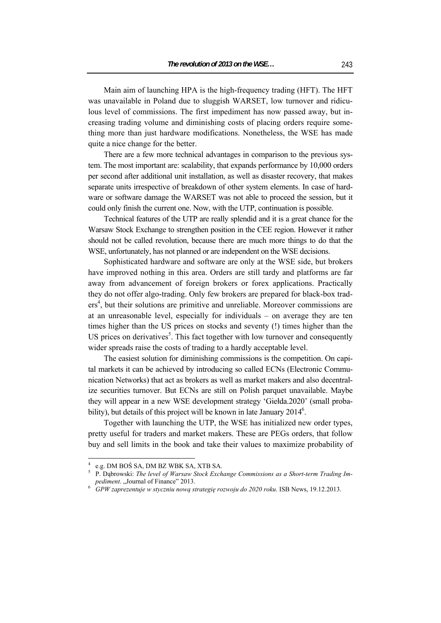Main aim of launching HPA is the high-frequency trading (HFT). The HFT was unavailable in Poland due to sluggish WARSET, low turnover and ridiculous level of commissions. The first impediment has now passed away, but increasing trading volume and diminishing costs of placing orders require something more than just hardware modifications. Nonetheless, the WSE has made quite a nice change for the better.

There are a few more technical advantages in comparison to the previous system. The most important are: scalability, that expands performance by 10,000 orders per second after additional unit installation, as well as disaster recovery, that makes separate units irrespective of breakdown of other system elements. In case of hardware or software damage the WARSET was not able to proceed the session, but it could only finish the current one. Now, with the UTP, continuation is possible.

Technical features of the UTP are really splendid and it is a great chance for the Warsaw Stock Exchange to strengthen position in the CEE region. However it rather should not be called revolution, because there are much more things to do that the WSE, unfortunately, has not planned or are independent on the WSE decisions.

Sophisticated hardware and software are only at the WSE side, but brokers have improved nothing in this area. Orders are still tardy and platforms are far away from advancement of foreign brokers or forex applications. Practically they do not offer algo-trading. Only few brokers are prepared for black-box traders<sup>4</sup>, but their solutions are primitive and unreliable. Moreover commissions are at an unreasonable level, especially for individuals – on average they are ten times higher than the US prices on stocks and seventy (!) times higher than the US prices on derivatives<sup>5</sup>. This fact together with low turnover and consequently wider spreads raise the costs of trading to a hardly acceptable level.

The easiest solution for diminishing commissions is the competition. On capital markets it can be achieved by introducing so called ECNs (Electronic Communication Networks) that act as brokers as well as market makers and also decentralize securities turnover. But ECNs are still on Polish parquet unavailable. Maybe they will appear in a new WSE development strategy 'Giełda.2020' (small probability), but details of this project will be known in late January  $2014^6$ .

Together with launching the UTP, the WSE has initialized new order types, pretty useful for traders and market makers. These are PEGs orders, that follow buy and sell limits in the book and take their values to maximize probability of

<sup>4</sup> e.g. DM BOŚ SA, DM BZ WBK SA, XTB SA,

P. Dąbrowski: *The level of Warsaw Stock Exchange Commissions as a Short-term Trading Impediment.* "Journal of Finance" 2013.

*GPW zaprezentuje w styczniu nową strategię rozwoju do 2020 roku*. ISB News, 19.12.2013.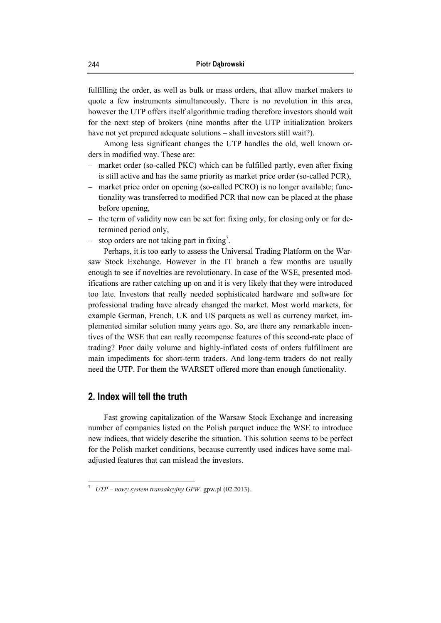fulfilling the order, as well as bulk or mass orders, that allow market makers to quote a few instruments simultaneously. There is no revolution in this area, however the UTP offers itself algorithmic trading therefore investors should wait for the next step of brokers (nine months after the UTP initialization brokers have not yet prepared adequate solutions – shall investors still wait?).

Among less significant changes the UTP handles the old, well known orders in modified way. These are:

- market order (so-called PKC) which can be fulfilled partly, even after fixing is still active and has the same priority as market price order (so-called PCR),
- market price order on opening (so-called PCRO) is no longer available; functionality was transferred to modified PCR that now can be placed at the phase before opening,
- the term of validity now can be set for: fixing only, for closing only or for determined period only,
- $-$  stop orders are not taking part in fixing<sup>7</sup>.

Perhaps, it is too early to assess the Universal Trading Platform on the Warsaw Stock Exchange. However in the IT branch a few months are usually enough to see if novelties are revolutionary. In case of the WSE, presented modifications are rather catching up on and it is very likely that they were introduced too late. Investors that really needed sophisticated hardware and software for professional trading have already changed the market. Most world markets, for example German, French, UK and US parquets as well as currency market, implemented similar solution many years ago. So, are there any remarkable incentives of the WSE that can really recompense features of this second-rate place of trading? Poor daily volume and highly-inflated costs of orders fulfillment are main impediments for short-term traders. And long-term traders do not really need the UTP. For them the WARSET offered more than enough functionality.

#### **2. Index will tell the truth**

 $\overline{a}$ 

Fast growing capitalization of the Warsaw Stock Exchange and increasing number of companies listed on the Polish parquet induce the WSE to introduce new indices, that widely describe the situation. This solution seems to be perfect for the Polish market conditions, because currently used indices have some maladjusted features that can mislead the investors.

<sup>7</sup> *UTP – nowy system transakcyjny GPW*. gpw.pl (02.2013).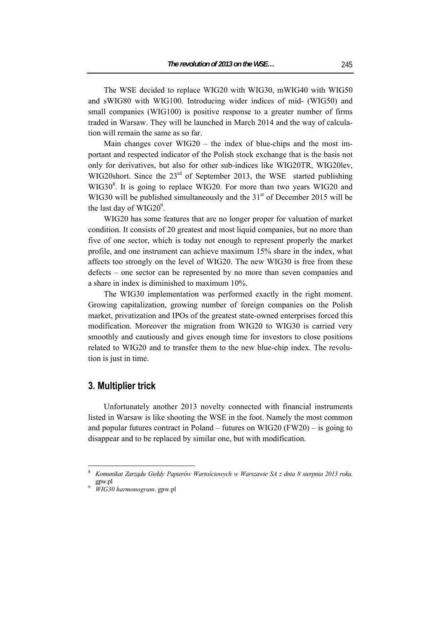The WSE decided to replace WIG20 with WIG30, mWIG40 with WIG50 and sWIG80 with WIG100. Introducing wider indices of mid- (WIG50) and small companies (WIG100) is positive response to a greater number of firms traded in Warsaw. They will be launched in March 2014 and the way of calculation will remain the same as so far.

Main changes cover WIG20 – the index of blue-chips and the most important and respected indicator of the Polish stock exchange that is the basis not only for derivatives, but also for other sub-indices like WIG20TR, WIG20lev, WIG20short. Since the  $23<sup>rd</sup>$  of September 2013, the WSE started publishing WIG30<sup>8</sup>. It is going to replace WIG20. For more than two years WIG20 and WIG30 will be published simultaneously and the  $31<sup>st</sup>$  of December 2015 will be the last day of  $WIG20^9$ .

WIG20 has some features that are no longer proper for valuation of market condition. It consists of 20 greatest and most liquid companies, but no more than five of one sector, which is today not enough to represent properly the market profile, and one instrument can achieve maximum 15% share in the index, what affects too strongly on the level of WIG20. The new WIG30 is free from these defects – one sector can be represented by no more than seven companies and a share in index is diminished to maximum 10%.

The WIG30 implementation was performed exactly in the right moment. Growing capitalization, growing number of foreign companies on the Polish market, privatization and IPOs of the greatest state-owned enterprises forced this modification. Moreover the migration from WIG20 to WIG30 is carried very smoothly and cautiously and gives enough time for investors to close positions related to WIG20 and to transfer them to the new blue-chip index. The revolution is just in time.

#### **3. Multiplier trick**

Unfortunately another 2013 novelty connected with financial instruments listed in Warsaw is like shooting the WSE in the foot. Namely the most common and popular futures contract in Poland – futures on WIG20 (FW20) – is going to disappear and to be replaced by similar one, but with modification.

<sup>8</sup> *Komunikat Zarządu Giełdy Papierów Wartościowych w Warszawie SA z dnia 8 sierpnia 2013 roku*. gpw.pl

*WIG30 harmonogram*. gpw.pl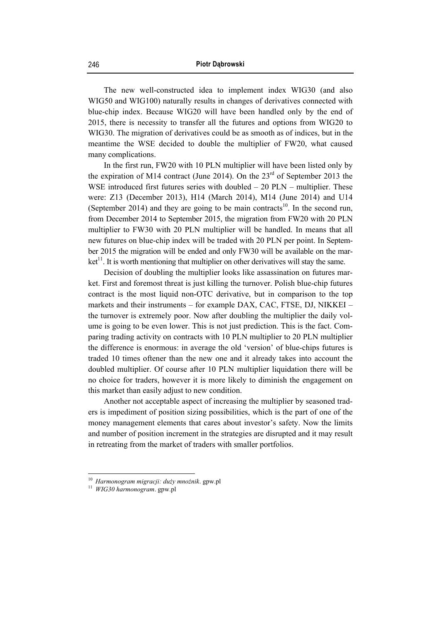The new well-constructed idea to implement index WIG30 (and also WIG50 and WIG100) naturally results in changes of derivatives connected with blue-chip index. Because WIG20 will have been handled only by the end of 2015, there is necessity to transfer all the futures and options from WIG20 to WIG30. The migration of derivatives could be as smooth as of indices, but in the meantime the WSE decided to double the multiplier of FW20, what caused many complications.

In the first run, FW20 with 10 PLN multiplier will have been listed only by the expiration of M14 contract (June 2014). On the  $23<sup>rd</sup>$  of September 2013 the WSE introduced first futures series with doubled – 20 PLN – multiplier. These were: Z13 (December 2013), H14 (March 2014), M14 (June 2014) and U14 (September 2014) and they are going to be main contracts<sup>10</sup>. In the second run, from December 2014 to September 2015, the migration from FW20 with 20 PLN multiplier to FW30 with 20 PLN multiplier will be handled. In means that all new futures on blue-chip index will be traded with 20 PLN per point. In September 2015 the migration will be ended and only FW30 will be available on the mar $ket<sup>11</sup>$ . It is worth mentioning that multiplier on other derivatives will stay the same.

Decision of doubling the multiplier looks like assassination on futures market. First and foremost threat is just killing the turnover. Polish blue-chip futures contract is the most liquid non-OTC derivative, but in comparison to the top markets and their instruments – for example DAX, CAC, FTSE, DJ, NIKKEI – the turnover is extremely poor. Now after doubling the multiplier the daily volume is going to be even lower. This is not just prediction. This is the fact. Comparing trading activity on contracts with 10 PLN multiplier to 20 PLN multiplier the difference is enormous: in average the old 'version' of blue-chips futures is traded 10 times oftener than the new one and it already takes into account the doubled multiplier. Of course after 10 PLN multiplier liquidation there will be no choice for traders, however it is more likely to diminish the engagement on this market than easily adjust to new condition.

Another not acceptable aspect of increasing the multiplier by seasoned traders is impediment of position sizing possibilities, which is the part of one of the money management elements that cares about investor's safety. Now the limits and number of position increment in the strategies are disrupted and it may result in retreating from the market of traders with smaller portfolios.

<sup>10</sup>*Harmonogram migracji: duży mnożnik*. gpw.pl 11 *WIG30 harmonogram*. gpw.pl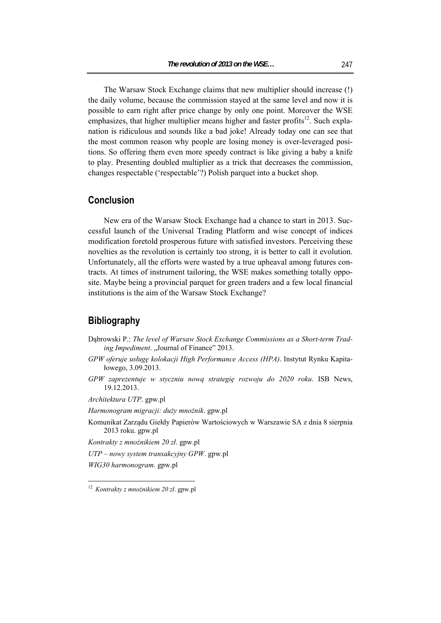The Warsaw Stock Exchange claims that new multiplier should increase (!) the daily volume, because the commission stayed at the same level and now it is possible to earn right after price change by only one point. Moreover the WSE emphasizes, that higher multiplier means higher and faster profits<sup>12</sup>. Such explanation is ridiculous and sounds like a bad joke! Already today one can see that the most common reason why people are losing money is over-leveraged positions. So offering them even more speedy contract is like giving a baby a knife to play. Presenting doubled multiplier as a trick that decreases the commission, changes respectable ('respectable'?) Polish parquet into a bucket shop.

#### **Conclusion**

New era of the Warsaw Stock Exchange had a chance to start in 2013. Successful launch of the Universal Trading Platform and wise concept of indices modification foretold prosperous future with satisfied investors. Perceiving these novelties as the revolution is certainly too strong, it is better to call it evolution. Unfortunately, all the efforts were wasted by a true upheaval among futures contracts. At times of instrument tailoring, the WSE makes something totally opposite. Maybe being a provincial parquet for green traders and a few local financial institutions is the aim of the Warsaw Stock Exchange?

#### **Bibliography**

- Dąbrowski P.: *The level of Warsaw Stock Exchange Commissions as a Short-term Trading Impediment.* "Journal of Finance" 2013.
- *GPW oferuje usługę kolokacji High Performance Access (HPA)*. Instytut Rynku Kapitałowego, 3.09.2013.
- *GPW zaprezentuje w styczniu nową strategię rozwoju do 2020 roku*. ISB News, 19.12.2013.

*Architektura UTP*. gpw.pl

*Harmonogram migracji: duży mnożnik*. gpw.pl

- Komunikat Zarządu Giełdy Papierów Wartościowych w Warszawie SA z dnia 8 sierpnia 2013 roku. gpw.pl
- *Kontrakty z mnożnikiem 20 zł*. gpw.pl
- *UTP nowy system transakcyjny GPW*. gpw.pl

*WIG30 harmonogram*. gpw.pl

<sup>12</sup> *Kontrakty z mnożnikiem 20 zł*. gpw.pl